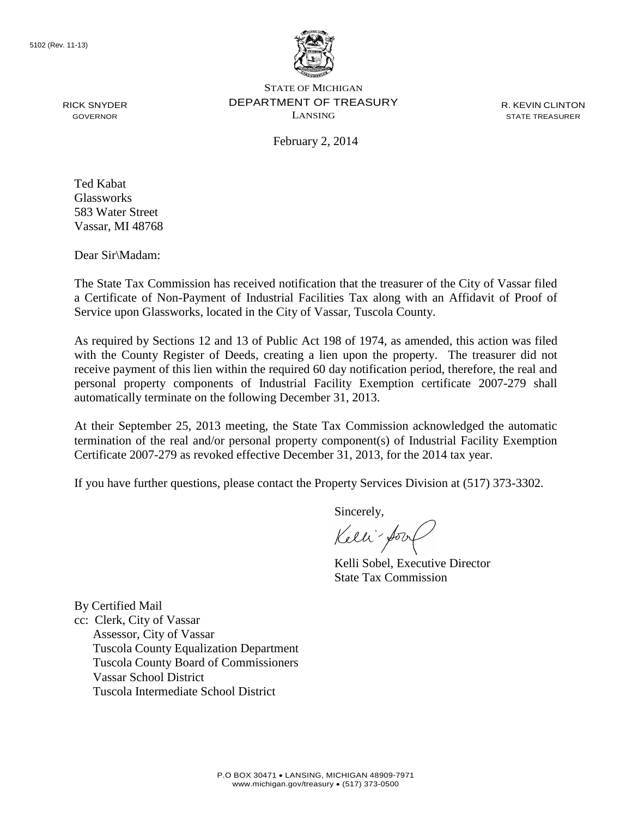

STATE OF MICHIGAN DEPARTMENT OF TREASURY LANSING

R. KEVIN CLINTON STATE TREASURER

February 2, 2014

Ted Kabat Glassworks 583 Water Street Vassar, MI 48768

RICK SNYDER GOVERNOR

Dear Sir\Madam:

The State Tax Commission has received notification that the treasurer of the City of Vassar filed a Certificate of Non-Payment of Industrial Facilities Tax along with an Affidavit of Proof of Service upon Glassworks, located in the City of Vassar, Tuscola County.

As required by Sections 12 and 13 of Public Act 198 of 1974, as amended, this action was filed with the County Register of Deeds, creating a lien upon the property. The treasurer did not receive payment of this lien within the required 60 day notification period, therefore, the real and personal property components of Industrial Facility Exemption certificate 2007-279 shall automatically terminate on the following December 31, 2013.

At their September 25, 2013 meeting, the State Tax Commission acknowledged the automatic termination of the real and/or personal property component(s) of Industrial Facility Exemption Certificate 2007-279 as revoked effective December 31, 2013, for the 2014 tax year.

If you have further questions, please contact the Property Services Division at (517) 373-3302.

Sincerely,

Kelli-Sorr

Kelli Sobel, Executive Director State Tax Commission

By Certified Mail

cc: Clerk, City of Vassar Assessor, City of Vassar Tuscola County Equalization Department Tuscola County Board of Commissioners Vassar School District Tuscola Intermediate School District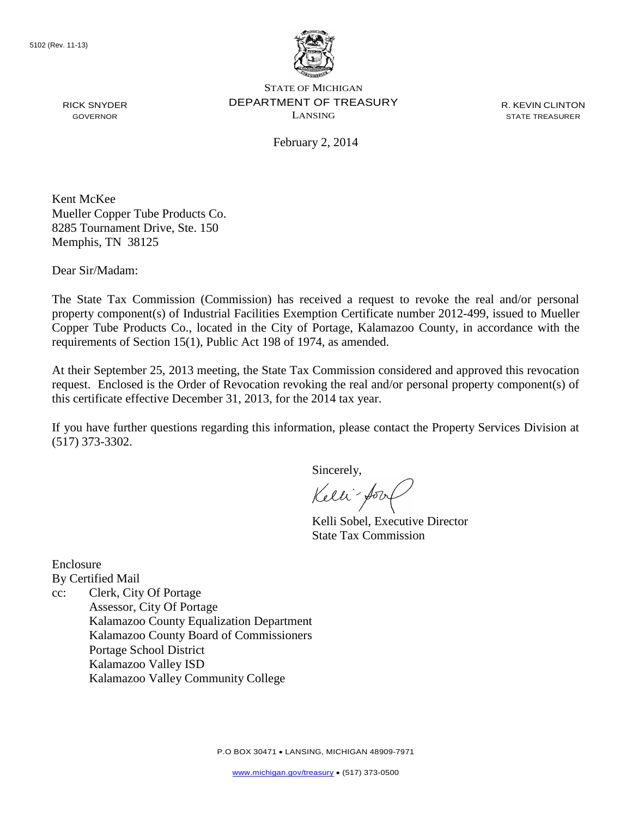

RICK SNYDER GOVERNOR

STATE OF MICHIGAN DEPARTMENT OF TREASURY LANSING

R. KEVIN CLINTON STATE TREASURER

February 2, 2014

Kent McKee Mueller Copper Tube Products Co. 8285 Tournament Drive, Ste. 150 Memphis, TN 38125

Dear Sir/Madam:

The State Tax Commission (Commission) has received a request to revoke the real and/or personal property component(s) of Industrial Facilities Exemption Certificate number 2012-499, issued to Mueller Copper Tube Products Co., located in the City of Portage, Kalamazoo County, in accordance with the requirements of Section 15(1), Public Act 198 of 1974, as amended.

At their September 25, 2013 meeting, the State Tax Commission considered and approved this revocation request. Enclosed is the Order of Revocation revoking the real and/or personal property component(s) of this certificate effective December 31, 2013, for the 2014 tax year.

If you have further questions regarding this information, please contact the Property Services Division at (517) 373-3302.

Sincerely,

Kelli-form

Kelli Sobel, Executive Director State Tax Commission

Enclosure By Certified Mail

cc: Clerk, City Of Portage Assessor, City Of Portage Kalamazoo County Equalization Department Kalamazoo County Board of Commissioners Portage School District Kalamazoo Valley ISD Kalamazoo Valley Community College